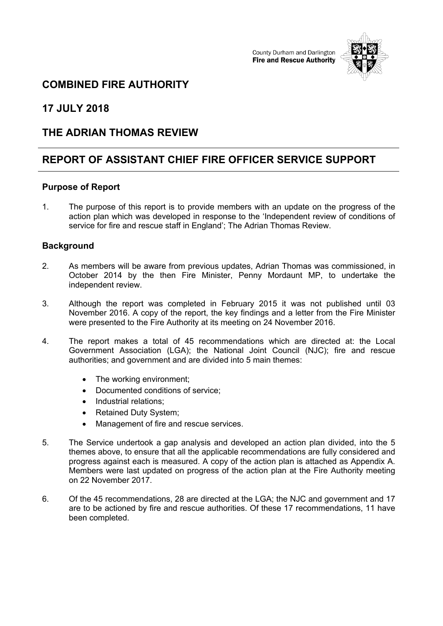County Durham and Darlington **Fire and Rescue Authority** 



## **COMBINED FIRE AUTHORITY**

**17 JULY 2018**

## **THE ADRIAN THOMAS REVIEW**

# **REPORT OF ASSISTANT CHIEF FIRE OFFICER SERVICE SUPPORT**

### **Purpose of Report**

1. The purpose of this report is to provide members with an update on the progress of the action plan which was developed in response to the 'Independent review of conditions of service for fire and rescue staff in England'; The Adrian Thomas Review.

### **Background**

- 2. As members will be aware from previous updates, Adrian Thomas was commissioned, in October 2014 by the then Fire Minister, Penny Mordaunt MP, to undertake the independent review.
- 3. Although the report was completed in February 2015 it was not published until 03 November 2016. A copy of the report, the key findings and a letter from the Fire Minister were presented to the Fire Authority at its meeting on 24 November 2016.
- 4. The report makes a total of 45 recommendations which are directed at: the Local Government Association (LGA); the National Joint Council (NJC); fire and rescue authorities; and government and are divided into 5 main themes:
	- The working environment;
	- Documented conditions of service;
	- Industrial relations;
	- Retained Duty System;
	- Management of fire and rescue services.
- 5. The Service undertook a gap analysis and developed an action plan divided, into the 5 themes above, to ensure that all the applicable recommendations are fully considered and progress against each is measured. A copy of the action plan is attached as Appendix A. Members were last updated on progress of the action plan at the Fire Authority meeting on 22 November 2017.
- 6. Of the 45 recommendations, 28 are directed at the LGA; the NJC and government and 17 are to be actioned by fire and rescue authorities. Of these 17 recommendations, 11 have been completed.